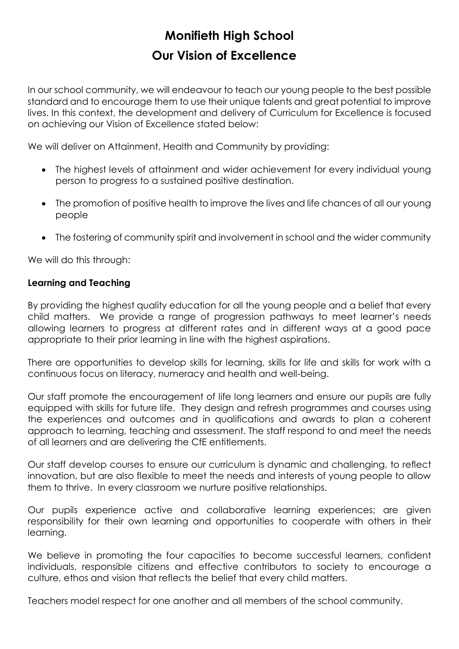# **Monifieth High School Our Vision of Excellence**

In our school community, we will endeavour to teach our young people to the best possible standard and to encourage them to use their unique talents and great potential to improve lives. In this context, the development and delivery of Curriculum for Excellence is focused on achieving our Vision of Excellence stated below:

We will deliver on Attainment, Health and Community by providing:

- The highest levels of attainment and wider achievement for every individual young person to progress to a sustained positive destination.
- The promotion of positive health to improve the lives and life chances of all our young people
- The fostering of community spirit and involvement in school and the wider community

We will do this through:

## **Learning and Teaching**

By providing the highest quality education for all the young people and a belief that every child matters. We provide a range of progression pathways to meet learner's needs allowing learners to progress at different rates and in different ways at a good pace appropriate to their prior learning in line with the highest aspirations.

There are opportunities to develop skills for learning, skills for life and skills for work with a continuous focus on literacy, numeracy and health and well-being.

Our staff promote the encouragement of life long learners and ensure our pupils are fully equipped with skills for future life. They design and refresh programmes and courses using the experiences and outcomes and in qualifications and awards to plan a coherent approach to learning, teaching and assessment. The staff respond to and meet the needs of all learners and are delivering the CfE entitlements.

Our staff develop courses to ensure our curriculum is dynamic and challenging, to reflect innovation, but are also flexible to meet the needs and interests of young people to allow them to thrive. In every classroom we nurture positive relationships.

Our pupils experience active and collaborative learning experiences; are given responsibility for their own learning and opportunities to cooperate with others in their learning.

We believe in promoting the four capacities to become successful learners, confident individuals, responsible citizens and effective contributors to society to encourage a culture, ethos and vision that reflects the belief that every child matters.

Teachers model respect for one another and all members of the school community.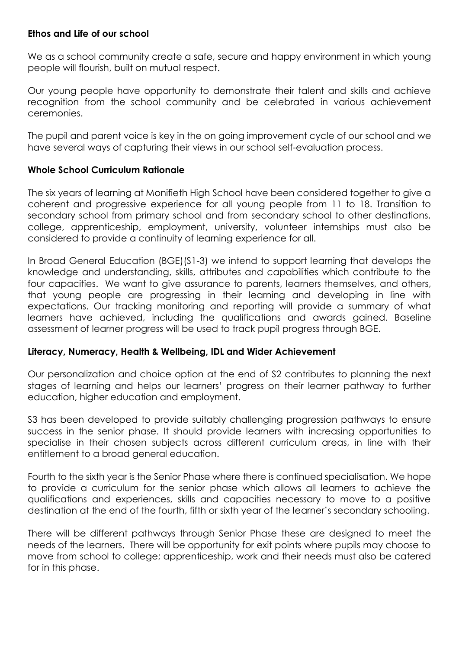## **Ethos and Life of our school**

We as a school community create a safe, secure and happy environment in which young people will flourish, built on mutual respect.

Our young people have opportunity to demonstrate their talent and skills and achieve recognition from the school community and be celebrated in various achievement ceremonies.

The pupil and parent voice is key in the on going improvement cycle of our school and we have several ways of capturing their views in our school self-evaluation process.

## **Whole School Curriculum Rationale**

The six years of learning at Monifieth High School have been considered together to give a coherent and progressive experience for all young people from 11 to 18. Transition to secondary school from primary school and from secondary school to other destinations, college, apprenticeship, employment, university, volunteer internships must also be considered to provide a continuity of learning experience for all.

In Broad General Education (BGE)(S1-3) we intend to support learning that develops the knowledge and understanding, skills, attributes and capabilities which contribute to the four capacities. We want to give assurance to parents, learners themselves, and others, that young people are progressing in their learning and developing in line with expectations. Our tracking monitoring and reporting will provide a summary of what learners have achieved, including the qualifications and awards gained. Baseline assessment of learner progress will be used to track pupil progress through BGE.

## **Literacy, Numeracy, Health & Wellbeing, IDL and Wider Achievement**

Our personalization and choice option at the end of S2 contributes to planning the next stages of learning and helps our learners' progress on their learner pathway to further education, higher education and employment.

S3 has been developed to provide suitably challenging progression pathways to ensure success in the senior phase. It should provide learners with increasing opportunities to specialise in their chosen subjects across different curriculum areas, in line with their entitlement to a broad general education.

Fourth to the sixth year is the Senior Phase where there is continued specialisation. We hope to provide a curriculum for the senior phase which allows all learners to achieve the qualifications and experiences, skills and capacities necessary to move to a positive destination at the end of the fourth, fifth or sixth year of the learner's secondary schooling.

There will be different pathways through Senior Phase these are designed to meet the needs of the learners. There will be opportunity for exit points where pupils may choose to move from school to college; apprenticeship, work and their needs must also be catered for in this phase.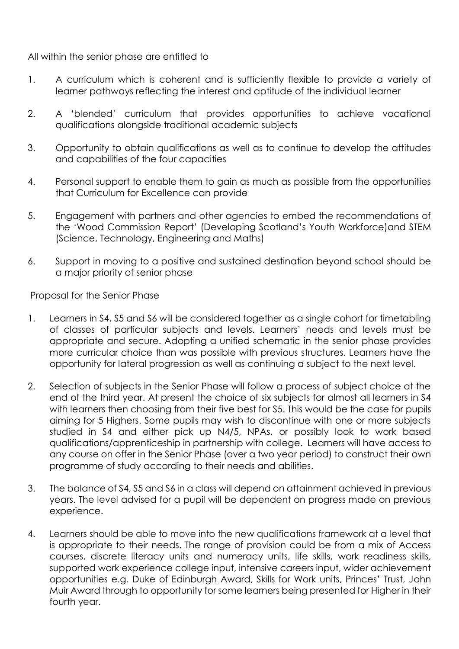All within the senior phase are entitled to

- 1. A curriculum which is coherent and is sufficiently flexible to provide a variety of learner pathways reflecting the interest and aptitude of the individual learner
- 2. A 'blended' curriculum that provides opportunities to achieve vocational qualifications alongside traditional academic subjects
- 3. Opportunity to obtain qualifications as well as to continue to develop the attitudes and capabilities of the four capacities
- 4. Personal support to enable them to gain as much as possible from the opportunities that Curriculum for Excellence can provide
- 5. Engagement with partners and other agencies to embed the recommendations of the 'Wood Commission Report' (Developing Scotland's Youth Workforce)and STEM (Science, Technology, Engineering and Maths)
- 6. Support in moving to a positive and sustained destination beyond school should be a major priority of senior phase

[P](http://image.slidesharecdn.com/curriculumrationales4-6finaldraftversion-111121034017-phpapp01/95/curriculum-rationale-s46-final-draft-version-2-728.jpg?cb=1321868862)roposal for the Senior Phase

- 1. Learners in S4, S5 and S6 will be considered together as a single cohort for timetabling of classes of particular subjects and levels. Learners' needs and levels must be appropriate and secure. Adopting a unified schematic in the senior phase provides more curricular choice than was possible with previous structures. Learners have the opportunity for lateral progression as well as continuing a subject to the next level.
- 2. Selection of subjects in the Senior Phase will follow a process of subject choice at the end of the third year. At present the choice of six subjects for almost all learners in S4 with learners then choosing from their five best for S5. This would be the case for pupils aiming for 5 Highers. Some pupils may wish to discontinue with one or more subjects studied in S4 and either pick up N4/5, NPAs, or possibly look to work based qualifications/apprenticeship in partnership with college. Learners will have access to any course on offer in the Senior Phase (over a two year period) to construct their own programme of study according to their needs and abilities.
- 3. The balance of S4, S5 and S6 in a class will depend on attainment achieved in previous years. The level advised for a pupil will be dependent on progress made on previous experience.
- 4. Learners should be able to move into the new qualifications framework at a level that is appropriate to their needs. The range of provision could be from a mix of Access courses, discrete literacy units and numeracy units, life skills, work readiness skills, supported work experience college input, intensive careers input, wider achievement opportunities e.g. Duke of Edinburgh Award, Skills for Work units, Princes' Trust, John Muir Award through to opportunity for some learners being presented for Higher in their fourth year.